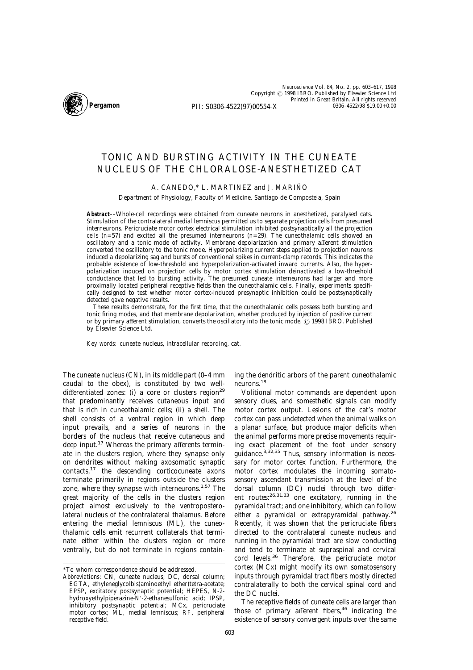

*Neuroscience* Vol. 84, No. 2, pp. 603–617, 1998 Copyright © 1998 IBRO. Published by Elsevier Science Ltd Printed in Great Britain. All rights reserved PII: S0306-4522(97)00554-X 0306-4522/98 \$19.00+0.00

# TONIC AND BURSTING ACTIVITY IN THE CUNEATE NUCLEUS OF THE CHLORALOSE-ANESTHETIZED CAT

# A. CANEDO,\* L. MARTINEZ and J. MARIÑO

Department of Physiology, Faculty of Medicine, Santiago de Compostela, Spain

**Abstract**––Whole-cell recordings were obtained from cuneate neurons in anesthetized, paralysed cats. Stimulation of the contralateral medial lemniscus permitted us to separate projection cells from presumed interneurons. Pericruciate motor cortex electrical stimulation inhibited postsynaptically all the projection cells (*n*=57) and excited all the presumed interneurons (*n*=29). The cuneothalamic cells showed an oscillatory and a tonic mode of activity. Membrane depolarization and primary afferent stimulation converted the oscillatory to the tonic mode. Hyperpolarizing current steps applied to projection neurons induced a depolarizing sag and bursts of conventional spikes in current-clamp records. This indicates the probable existence of low-threshold and hyperpolarization-activated inward currents. Also, the hyperpolarization induced on projection cells by motor cortex stimulation deinactivated a low-threshold conductance that led to bursting activity. The presumed cuneate interneurons had larger and more proximally located peripheral receptive fields than the cuneothalamic cells. Finally, experiments specifically designed to test whether motor cortex-induced presynaptic inhibition could be postsynaptically detected gave negative results.

These results demonstrate, for the first time, that the cuneothalamic cells possess both bursting and tonic firing modes, and that membrane depolarization, whether produced by injection of positive current or by primary afferent stimulation, converts the oscillatory into the tonic mode. © 1998 IBRO. Published by Elsevier Science Ltd.

*Key words*: cuneate nucleus, intracellular recording, cat.

The cuneate nucleus (CN), in its middle part (0–4 mm caudal to the obex), is constituted by two welldifferentiated zones: (i) a core or clusters region<sup>29</sup> that predominantly receives cutaneous input and that is rich in cuneothalamic cells; (ii) a shell. The shell consists of a ventral region in which deep input prevails, and a series of neurons in the borders of the nucleus that receive cutaneous and deep input.<sup>17</sup> Whereas the primary afferents terminate in the clusters region, where they synapse only on dendrites without making axosomatic synaptic contacts,17 the descending corticocuneate axons terminate primarily in regions outside the clusters zone, where they synapse with interneurons.<sup>1,57</sup> The great majority of the cells in the clusters region project almost exclusively to the ventroposterolateral nucleus of the contralateral thalamus. Before entering the medial lemniscus (ML), the cuneothalamic cells emit recurrent collaterals that terminate either within the clusters region or more ventrally, but do not terminate in regions containing the dendritic arbors of the parent cuneothalamic neurons.18

Volitional motor commands are dependent upon sensory clues, and somesthetic signals can modify motor cortex output. Lesions of the cat's motor cortex can pass undetected when the animal walks on a planar surface, but produce major deficits when the animal performs more precise movements requiring exact placement of the foot under sensory guidance. $3,32,35$  Thus, sensory information is necessary for motor cortex function. Furthermore, the motor cortex modulates the incoming somatosensory ascendant transmission at the level of the dorsal column (DC) nuclei through two different routes:26,31,33 one excitatory, running in the pyramidal tract; and one inhibitory, which can follow either a pyramidal or extrapyramidal pathway.<sup>26</sup> Recently, it was shown that the pericruciate fibers directed to the contralateral cuneate nucleus and running in the pyramidal tract are slow conducting and tend to terminate at supraspinal and cervical cord levels.36 Therefore, the pericruciate motor cortex (MCx) might modify its own somatosensory inputs through pyramidal tract fibers mostly directed contralaterally to both the cervical spinal cord and the DC nuclei.

The receptive fields of cuneate cells are larger than those of primary afferent fibers, $46$  indicating the existence of sensory convergent inputs over the same

<sup>\*</sup>To whom correspondence should be addressed.

*Abbreviations*: CN, cuneate nucleus; DC, dorsal column; EGTA, ethyleneglycolbis(aminoethyl ether)tetra-acetate; EPSP, excitatory postsynaptic potential; HEPES, *N*-2 hydroxyethylpiperazine-*N*\*-2-ethanesulfonic acid; IPSP, inhibitory postsynaptic potential; MCx, pericruciate motor cortex; ML, medial lemniscus; RF, peripheral receptive field.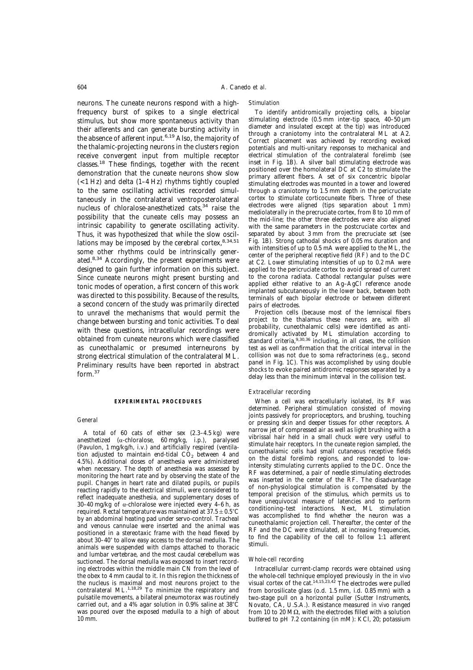neurons. The cuneate neurons respond with a highfrequency burst of spikes to a single electrical stimulus, but show more spontaneous activity than their afferents and can generate bursting activity in the absence of afferent input.<sup>6,19</sup> Also, the majority of the thalamic-projecting neurons in the clusters region receive convergent input from multiple receptor classes.<sup>18</sup> These findings, together with the recent demonstration that the cuneate neurons show slow (<1 Hz) and delta (1–4 Hz) rhythms tightly coupled to the same oscillating activities recorded simultaneously in the contralateral ventroposterolateral nucleus of chloralose-anesthetized cats,  $34$  raise the possibility that the cuneate cells may possess an intrinsic capability to generate oscillating activity. Thus, it was hypothesized that while the slow oscillations may be imposed by the cerebral cortex,  $8,34,51$ some other rhythms could be intrinsically generated.8,34 Accordingly, the present experiments were designed to gain further information on this subject. Since cuneate neurons might present bursting and tonic modes of operation, a first concern of this work was directed to this possibility. Because of the results, a second concern of the study was primarily directed to unravel the mechanisms that would permit the change between bursting and tonic activities. To deal with these questions, intracellular recordings were obtained from cuneate neurons which were classified as cuneothalamic or presumed interneurons by strong electrical stimulation of the contralateral ML. Preliminary results have been reported in abstract form  $37$ 

#### **EXPERIMENTAL PROCEDURES**

#### *General*

A total of 60 cats of either sex (2.3–4.5 kg) were anesthetized ( $\alpha$ -chloralose, 60 mg/kg, i.p.), paralysed (Pavulon, 1 mg/kg/h, i.v.) and artificially respired (ventilation adjusted to maintain end-tidal  $CO<sub>2</sub>$  between 4 and 4.5%). Additional doses of anesthesia were administered when necessary. The depth of anesthesia was assessed by monitoring the heart rate and by observing the state of the pupil. Changes in heart rate and dilated pupils, or pupils reacting rapidly to the electrical stimuli, were considered to reflect inadequate anesthesia, and supplementary doses of 30–40 mg/kg of  $\alpha$ -chloralose were injected every 4–6 h, as required. Rectal temperature was maintained at  $37.5 \pm 0.5^{\circ}$ C by an abdominal heating pad under servo-control. Tracheal and venous cannulae were inserted and the animal was positioned in a stereotaxic frame with the head flexed by about 30-40° to allow easy access to the dorsal medulla. The animals were suspended with clamps attached to thoracic and lumbar vertebrae, and the most caudal cerebellum was suctioned. The dorsal medulla was exposed to insert recording electrodes within the middle main CN from the level of the obex to 4 mm caudal to it. In this region the thickness of the nucleus is maximal and most neurons project to the contralateral ML.<sup>1,18,29</sup> To minimize the respiratory and pulsatile movements, a bilateral pneumotorax was routinely carried out, and a 4% agar solution in 0.9% saline at  $38^{\circ}$ C was poured over the exposed medulla to a high of about 10 mm.

#### *Stimulation*

To identify antidromically projecting cells, a bipolar stimulating electrode (0.5 mm inter-tip space, 40–50 um diameter and insulated except at the tip) was introduced through a craniotomy into the contralateral ML at A2. Correct placement was achieved by recording evoked potentials and multi-unitary responses to mechanical and electrical stimulation of the contralateral forelimb (see inset in Fig. 1B). A silver ball stimulating electrode was positioned over the homolateral DC at C2 to stimulate the primary afferent fibers. A set of six concentric bipolar stimulating electrodes was mounted in a tower and lowered through a craniotomy to 1.5 mm depth in the pericruciate cortex to stimulate corticocuneate fibers. Three of these electrodes were aligned (tips separation about 1 mm) mediolaterally in the precruciate cortex, from 8 to 10 mm of the mid-line; the other three electrodes were also aligned with the same parameters in the postcruciate cortex and separated by about 3 mm from the precruciate set (see Fig. 1B). Strong cathodal shocks of 0.05 ms duration and with intensities of up to 0.5 mA were applied to the ML, the center of the peripheral receptive field (RF) and to the DC at C2. Lower stimulating intensities of up to 0.2 mA were applied to the pericruciate cortex to avoid spread of current to the corona radiata. Cathodal rectangular pulses were applied either relative to an Ag-AgCl reference anode implanted subcutaneously in the lower back, between both terminals of each bipolar electrode or between different pairs of electrodes.

Projection cells (because most of the lemniscal fibers project to the thalamus these neurons are, with all probability, cuneothalamic cells) were identified as antidromically activated by ML stimulation according to<br>standard criteria,<sup>9,30,36</sup> including, in all cases, the collision test as well as confirmation that the critical interval in the collision was not due to soma refractoriness (e.g., second panel in Fig. 1C). This was accomplished by using double shocks to evoke paired antidromic responses separated by a delay less than the minimum interval in the collision test.

#### *Extracellular recording*

When a cell was extracellularly isolated, its RF was determined. Peripheral stimulation consisted of moving joints passively for proprioceptors, and brushing, touching or pressing skin and deeper tissues for other receptors. A narrow jet of compressed air as well as light brushing with a vibrissal hair held in a small chuck were very useful to stimulate hair receptors. In the cuneate region sampled, the cuneothalamic cells had small cutaneous receptive fields on the distal forelimb regions, and responded to lowintensity stimulating currents applied to the DC. Once the RF was determined, a pair of needle stimulating electrodes was inserted in the center of the RF. The disadvantage of non-physiological stimulation is compensated by the temporal precision of the stimulus, which permits us to have unequivocal measure of latencies and to perform conditioning–test interactions. Next, ML stimulation was accomplished to find whether the neuron was a cuneothalamic projection cell. Thereafter, the center of the RF and the DC were stimulated, at increasing frequencies, to find the capability of the cell to follow 1:1 afferent stimuli.

#### *Whole-cell recording*

Intracellular current-clamp records were obtained using the whole-cell technique employed previously in the *in vivo* visual cortex of the cat.14,15,23,42 The electrodes were pulled from borosilicate glass (o.d. 1.5 mm, i.d. 0.85 mm) with a two-stage pull on a horizontal puller (Sutter Instruments, Novato, CA, U.S.A.). Resistance measured *in vivo* ranged from 10 to 20  $\text{M}\Omega$ , with the electrodes filled with a solution buffered to pH 7.2 containing (in mM): KCl, 20; potassium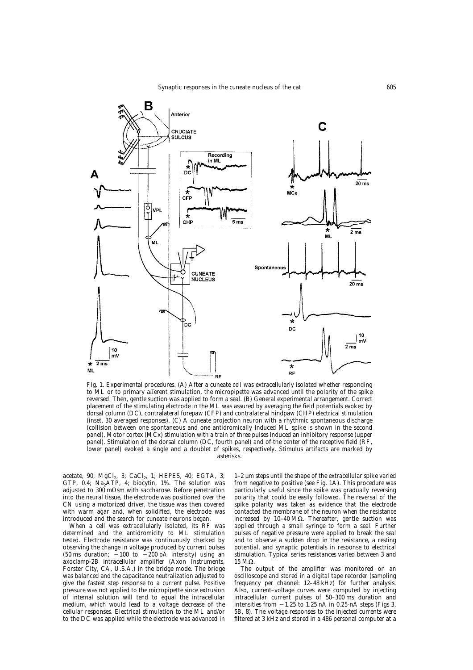

Fig. 1. Experimental procedures. (A) After a cuneate cell was extracellularly isolated whether responding to ML or to primary afferent stimulation, the micropipette was advanced until the polarity of the spike reversed. Then, gentle suction was applied to form a seal. (B) General experimental arrangement. Correct placement of the stimulating electrode in the ML was assured by averaging the field potentials evoked by dorsal column (DC), contralateral forepaw (CFP) and contralateral hindpaw (CHP) electrical stimulation (inset, 30 averaged responses). (C) A cuneate projection neuron with a rhythmic spontaneous discharge (collision between one spontaneous and one antidromically induced ML spike is shown in the second panel). Motor cortex (MCx) stimulation with a train of three pulses induced an inhibitory response (upper panel). Stimulation of the dorsal column (DC, fourth panel) and of the center of the receptive field (RF, lower panel) evoked a single and a doublet of spikes, respectively. Stimulus artifacts are marked by asterisks.

acetate, 90; MgCl<sub>2</sub>, 3; CaCl<sub>2</sub>, 1; HEPES, 40; EGTA, 3; GTP,  $0.4$ ; Na<sub>2</sub>ATP, 4; biocytin, 1%. The solution was adjusted to 300 mOsm with saccharose. Before penetration into the neural tissue, the electrode was positioned over the CN using a motorized driver, the tissue was then covered with warm agar and, when solidified, the electrode was introduced and the search for cuneate neurons began.

When a cell was extracellularly isolated, its RF was determined and the antidromicity to ML stimulation tested. Electrode resistance was continuously checked by observing the change in voltage produced by current pulses (50 ms duration;  $-100$  to  $-200$  pA intensity) using an axoclamp-2B intracellular amplifier (Axon Instruments, Forster City, CA, U.S.A.) in the bridge mode. The bridge was balanced and the capacitance neutralization adjusted to give the fastest step response to a current pulse. Positive pressure was not applied to the micropipette since extrusion of internal solution will tend to equal the intracellular medium, which would lead to a voltage decrease of the cellular responses. Electrical stimulation to the ML and/or to the DC was applied while the electrode was advanced in 1–2 µm steps until the shape of the extracellular spike varied from negative to positive (see Fig. 1A). This procedure was particularly useful since the spike was gradually reversing polarity that could be easily followed. The reversal of the spike polarity was taken as evidence that the electrode contacted the membrane of the neuron when the resistance increased by  $10-40$  M $\Omega$ . Thereafter, gentle suction was applied through a small syringe to form a seal. Further pulses of negative pressure were applied to break the seal and to observe a sudden drop in the resistance, a resting potential, and synaptic potentials in response to electrical stimulation. Typical series resistances varied between 3 and  $15 \text{ M}\Omega$ .

The output of the amplifier was monitored on an oscilloscope and stored in a digital tape recorder (sampling frequency per channel:  $12-48$  kHz) for further analysis. Also, current–voltage curves were computed by injecting intracellular current pulses of 50–300 ms duration and intensities from  $-1.25$  to 1.25 nA in 0.25-nA steps (Figs 3, 5B, 8). The voltage responses to the injected currents were filtered at 3 kHz and stored in a 486 personal computer at a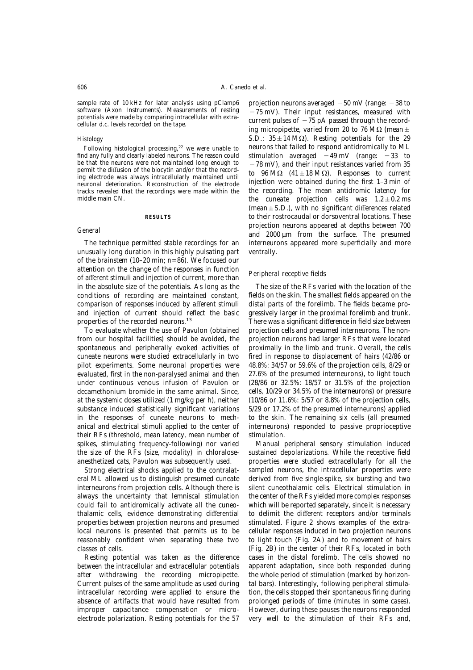sample rate of 10 kHz for later analysis using pClamp6 software (Axon Instruments). Measurements of resting potentials were made by comparing intracellular with extracellular d.c. levels recorded on the tape.

# *Histology*

Following histological processing,<sup>22</sup> we were unable to find any fully and clearly labeled neurons. The reason could be that the neurons were not maintained long enough to permit the diffusion of the biocytin and/or that the recording electrode was always intracellularly maintained until neuronal deterioration. Reconstruction of the electrode tracks revealed that the recordings were made within the middle main CN.

## **RESULTS**

# *General*

The technique permitted stable recordings for an unusually long duration in this highly pulsating part of the brainstem (10–20 min; *n*=86). We focused our attention on the change of the responses in function of afferent stimuli and injection of current, more than in the absolute size of the potentials. As long as the conditions of recording are maintained constant, comparison of responses induced by afferent stimuli and injection of current should reflect the basic properties of the recorded neurons.<sup>13</sup>

To evaluate whether the use of Pavulon (obtained from our hospital facilities) should be avoided, the spontaneous and peripherally evoked activities of cuneate neurons were studied extracellularly in two pilot experiments. Some neuronal properties were evaluated, first in the non-paralysed animal and then under continuous venous infusion of Pavulon or decamethonium bromide in the same animal. Since, at the systemic doses utilized (1 mg/kg per h), neither substance induced statistically significant variations in the responses of cuneate neurons to mechanical and electrical stimuli applied to the center of their RFs (threshold, mean latency, mean number of spikes, stimulating frequency-following) nor varied the size of the RFs (size, modality) in chloraloseanesthetized cats, Pavulon was subsequently used.

Strong electrical shocks applied to the contralateral ML allowed us to distinguish presumed cuneate interneurons from projection cells. Although there is always the uncertainty that lemniscal stimulation could fail to antidromically activate all the cuneothalamic cells, evidence demonstrating differential properties between projection neurons and presumed local neurons is presented that permits us to be reasonably confident when separating these two classes of cells.

Resting potential was taken as the difference between the intracellular and extracellular potentials after withdrawing the recording micropipette. Current pulses of the same amplitude as used during intracellular recording were applied to ensure the absence of artifacts that would have resulted from improper capacitance compensation or microelectrode polarization. Resting potentials for the 57 projection neurons averaged  $-50$  mV (range:  $-38$  to  $-75$  mV). Their input resistances, measured with current pulses of  $-75$  pA passed through the recording micropipette, varied from 20 to 76 M $\Omega$  (mean  $\pm$ S.D.:  $35 \pm 14$  M $\Omega$ ). Resting potentials for the 29 neurons that failed to respond antidromically to ML stimulation averaged  $-49 \text{ mV}$  (range:  $-33 \text{ to}$  $-78$  mV), and their input resistances varied from 35 to 96 M $\Omega$  (41  $\pm$  18 M $\Omega$ ). Responses to current injection were obtained during the first 1–3 min of the recording. The mean antidromic latency for the cuneate projection cells was  $1.2 \pm 0.2$  ms (mean  $\pm$  S.D.), with no significant differences related to their rostrocaudal or dorsoventral locations. These projection neurons appeared at depths between 700 and 2000 µm from the surface. The presumed interneurons appeared more superficially and more ventrally.

## *Peripheral receptive fields*

The size of the RFs varied with the location of the fields on the skin. The smallest fields appeared on the distal parts of the forelimb. The fields became progressively larger in the proximal forelimb and trunk. There was a significant difference in field size between projection cells and presumed interneurons. The nonprojection neurons had larger RFs that were located proximally in the limb and trunk. Overall, the cells fired in response to displacement of hairs (42/86 or 48.8%: 34/57 or 59.6% of the projection cells, 8/29 or 27.6% of the presumed interneurons), to light touch (28/86 or 32.5%: 18/57 or 31.5% of the projection cells, 10/29 or 34.5% of the interneurons) or pressure (10/86 or 11.6%: 5/57 or 8.8% of the projection cells, 5/29 or 17.2% of the presumed interneurons) applied to the skin. The remaining six cells (all presumed interneurons) responded to passive proprioceptive stimulation.

Manual peripheral sensory stimulation induced sustained depolarizations. While the receptive field properties were studied extracellularly for all the sampled neurons, the intracellular properties were derived from five single-spike, six bursting and two silent cuneothalamic cells. Electrical stimulation in the center of the RFs yielded more complex responses which will be reported separately, since it is necessary to delimit the different receptors and/or terminals stimulated. Figure 2 shows examples of the extracellular responses induced in two projection neurons to light touch (Fig. 2A) and to movement of hairs (Fig. 2B) in the center of their RFs, located in both cases in the distal forelimb. The cells showed no apparent adaptation, since both responded during the whole period of stimulation (marked by horizontal bars). Interestingly, following peripheral stimulation, the cells stopped their spontaneous firing during prolonged periods of time (minutes in some cases). However, during these pauses the neurons responded very well to the stimulation of their RFs and,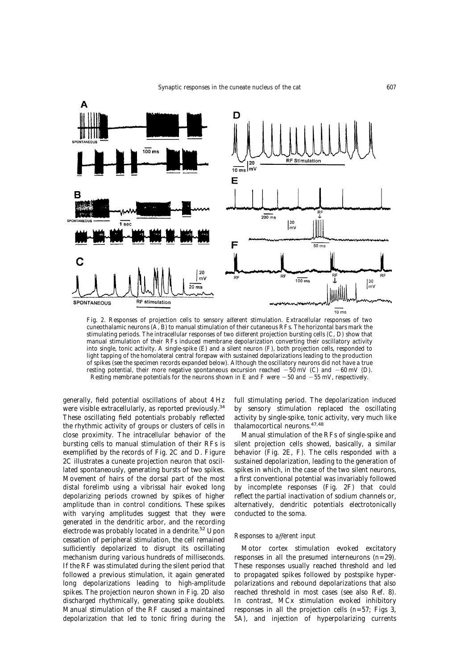

Fig. 2. Responses of projection cells to sensory afferent stimulation. Extracellular responses of two cuneothalamic neurons (A, B) to manual stimulation of their cutaneous RFs. The horizontal bars mark the stimulating periods. The intracellular responses of two different projection bursting cells (C, D) show that manual stimulation of their RFs induced membrane depolarization converting their oscillatory activity into single, tonic activity. A single-spike (E) and a silent neuron (F), both projection cells, responded to light tapping of the homolateral central forepaw with sustained depolarizations leading to the production of spikes (see the specimen records expanded below). Although the oscillatory neurons did not have a true resting potential, their more negative spontaneous excursion reached  $-50$  mV (C) and  $-60$  mV (D). Resting membrane potentials for the neurons shown in E and F were  $-50$  and  $-55$  mV, respectively.

generally, field potential oscillations of about 4 Hz were visible extracellularly, as reported previously.<sup>34</sup> These oscillating field potentials probably reflected the rhythmic activity of groups or clusters of cells in close proximity. The intracellular behavior of the bursting cells to manual stimulation of their RFs is exemplified by the records of Fig. 2C and D. Figure 2C illustrates a cuneate projection neuron that oscillated spontaneously, generating bursts of two spikes. Movement of hairs of the dorsal part of the most distal forelimb using a vibrissal hair evoked long depolarizing periods crowned by spikes of higher amplitude than in control conditions. These spikes with varying amplitudes suggest that they were generated in the dendritic arbor, and the recording electrode was probably located in a dendrite.<sup>52</sup> Upon cessation of peripheral stimulation, the cell remained sufficiently depolarized to disrupt its oscillating mechanism during various hundreds of milliseconds. If the RF was stimulated during the silent period that followed a previous stimulation, it again generated long depolarizations leading to high-amplitude spikes. The projection neuron shown in Fig. 2D also discharged rhythmically, generating spike doublets. Manual stimulation of the RF caused a maintained depolarization that led to tonic firing during the full stimulating period. The depolarization induced by sensory stimulation replaced the oscillating activity by single-spike, tonic activity, very much like thalamocortical neurons.47,48

Manual stimulation of the RFs of single-spike and silent projection cells showed, basically, a similar behavior (Fig. 2E, F). The cells responded with a sustained depolarization, leading to the generation of spikes in which, in the case of the two silent neurons, a first conventional potential was invariably followed by incomplete responses (Fig. 2F) that could reflect the partial inactivation of sodium channels or, alternatively, dendritic potentials electrotonically conducted to the soma.

# *Responses to afferent input*

Motor cortex stimulation evoked excitatory responses in all the presumed interneurons (*n*=29). These responses usually reached threshold and led to propagated spikes followed by postspike hyperpolarizations and rebound depolarizations that also reached threshold in most cases (see also Ref. 8). In contrast, MCx stimulation evoked inhibitory responses in all the projection cells (*n*=57; Figs 3, 5A), and injection of hyperpolarizing currents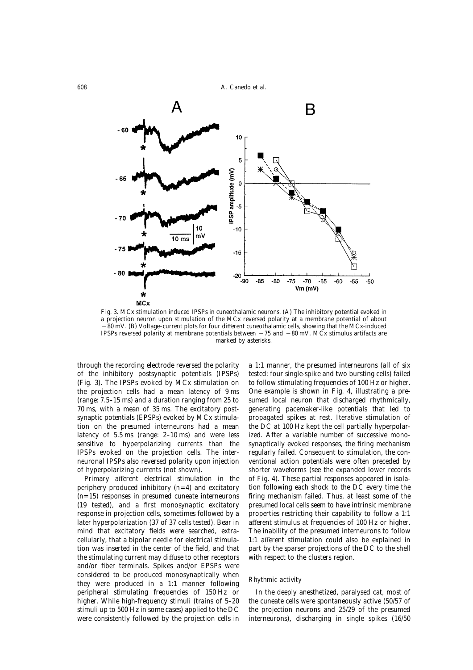608 A. Canedo *et al.*



Fig. 3. MCx stimulation induced IPSPs in cuneothalamic neurons. (A) The inhibitory potential evoked in a projection neuron upon stimulation of the MCx reversed polarity at a membrane potential of about "80 mV. (B) Voltage–current plots for four different cuneothalamic cells, showing that the MCx-induced IPSPs reversed polarity at membrane potentials between  $-75$  and  $-80$  mV. MCx stimulus artifacts are marked by asterisks.

through the recording electrode reversed the polarity of the inhibitory postsynaptic potentials (IPSPs) (Fig. 3). The IPSPs evoked by MCx stimulation on the projection cells had a mean latency of 9 ms (range: 7.5–15 ms) and a duration ranging from 25 to 70 ms, with a mean of 35 ms. The excitatory postsynaptic potentials (EPSPs) evoked by MCx stimulation on the presumed interneurons had a mean latency of 5.5 ms (range: 2–10 ms) and were less sensitive to hyperpolarizing currents than the IPSPs evoked on the projection cells. The interneuronal IPSPs also reversed polarity upon injection of hyperpolarizing currents (not shown).

Primary afferent electrical stimulation in the periphery produced inhibitory (*n*=4) and excitatory (*n*=15) responses in presumed cuneate interneurons (19 tested), and a first monosynaptic excitatory response in projection cells, sometimes followed by a later hyperpolarization (37 of 37 cells tested). Bear in mind that excitatory fields were searched, extracellularly, that a bipolar needle for electrical stimulation was inserted in the center of the field, and that the stimulating current may diffuse to other receptors and/or fiber terminals. Spikes and/or EPSPs were considered to be produced monosynaptically when they were produced in a 1:1 manner following peripheral stimulating frequencies of 150 Hz or higher. While high-frequency stimuli (trains of 5–20 stimuli up to 500 Hz in some cases) applied to the DC were consistently followed by the projection cells in a 1:1 manner, the presumed interneurons (all of six tested: four single-spike and two bursting cells) failed to follow stimulating frequencies of 100 Hz or higher. One example is shown in Fig. 4, illustrating a presumed local neuron that discharged rhythmically, generating pacemaker-like potentials that led to propagated spikes at rest. Iterative stimulation of the DC at 100 Hz kept the cell partially hyperpolarized. After a variable number of successive monosynaptically evoked responses, the firing mechanism regularly failed. Consequent to stimulation, the conventional action potentials were often preceded by shorter waveforms (see the expanded lower records of Fig. 4). These partial responses appeared in isolation following each shock to the DC every time the firing mechanism failed. Thus, at least some of the presumed local cells seem to have intrinsic membrane properties restricting their capability to follow a 1:1 afferent stimulus at frequencies of 100 Hz or higher. The inability of the presumed interneurons to follow 1:1 afferent stimulation could also be explained in part by the sparser projections of the DC to the shell with respect to the clusters region.

# *Rhythmic activity*

In the deeply anesthetized, paralysed cat, most of the cuneate cells were spontaneously active (50/57 of the projection neurons and 25/29 of the presumed interneurons), discharging in single spikes (16/50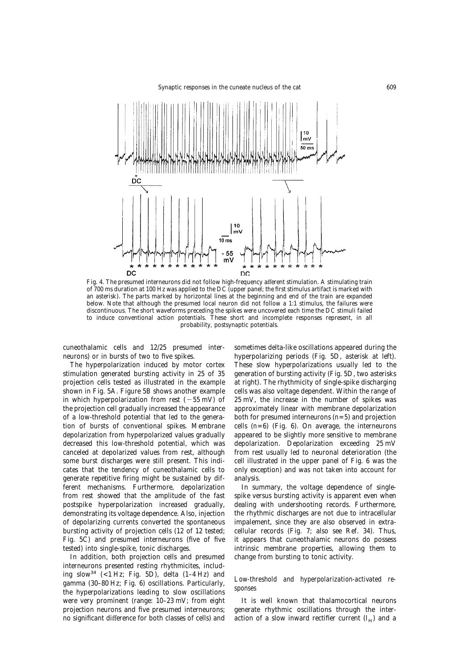

Fig. 4. The presumed interneurons did not follow high-frequency afferent stimulation. A stimulating train of 700 ms duration at 100 Hz was applied to the DC (upper panel; the first stimulus artifact is marked with an asterisk). The parts marked by horizontal lines at the beginning and end of the train are expanded below. Note that although the presumed local neuron did not follow a 1:1 stimulus, the failures were discontinuous. The short waveforms preceding the spikes were uncovered each time the DC stimuli failed to induce conventional action potentials. These short and incomplete responses represent, in all probability, postsynaptic potentials.

cuneothalamic cells and 12/25 presumed interneurons) or in bursts of two to five spikes.

The hyperpolarization induced by motor cortex stimulation generated bursting activity in 25 of 35 projection cells tested as illustrated in the example shown in Fig. 5A. Figure 5B shows another example in which hyperpolarization from rest  $(-55 \text{ mV})$  of the projection cell gradually increased the appearance of a low-threshold potential that led to the generation of bursts of conventional spikes. Membrane depolarization from hyperpolarized values gradually decreased this low-threshold potential, which was canceled at depolarized values from rest, although some burst discharges were still present. This indicates that the tendency of cuneothalamic cells to generate repetitive firing might be sustained by different mechanisms. Furthermore, depolarization from rest showed that the amplitude of the fast postspike hyperpolarization increased gradually, demonstrating its voltage dependence. Also, injection of depolarizing currents converted the spontaneous bursting activity of projection cells (12 of 12 tested; Fig. 5C) and presumed interneurons (five of five tested) into single-spike, tonic discharges.

In addition, both projection cells and presumed interneurons presented resting rhythmicites, including slow<sup>34</sup> (<1 Hz; Fig. 5D), delta (1-4 Hz) and gamma (30–80 Hz; Fig. 6) oscillations. Particularly, the hyperpolarizations leading to slow oscillations were very prominent (range: 10–23 mV; from eight projection neurons and five presumed interneurons; no significant difference for both classes of cells) and sometimes delta-like oscillations appeared during the hyperpolarizing periods (Fig. 5D, asterisk at left). These slow hyperpolarizations usually led to the generation of bursting activity (Fig. 5D, two asterisks at right). The rhythmicity of single-spike discharging cells was also voltage dependent. Within the range of 25 mV, the increase in the number of spikes was approximately linear with membrane depolarization both for presumed interneurons (*n*=5) and projection cells  $(n=6)$  (Fig. 6). On average, the interneurons appeared to be slightly more sensitive to membrane depolarization. Depolarization exceeding 25 mV from rest usually led to neuronal deterioration (the cell illustrated in the upper panel of Fig. 6 was the only exception) and was not taken into account for analysis.

In summary, the voltage dependence of singlespike versus bursting activity is apparent even when dealing with undershooting records. Furthermore, the rhythmic discharges are not due to intracellular impalement, since they are also observed in extracellular records (Fig. 7; also see Ref. 34). Thus, it appears that cuneothalamic neurons do possess intrinsic membrane properties, allowing them to change from bursting to tonic activity.

# *Low-threshold and hyperpolarization-activated responses*

It is well known that thalamocortical neurons generate rhythmic oscillations through the interaction of a slow inward rectifier current  $(I_H)$  and a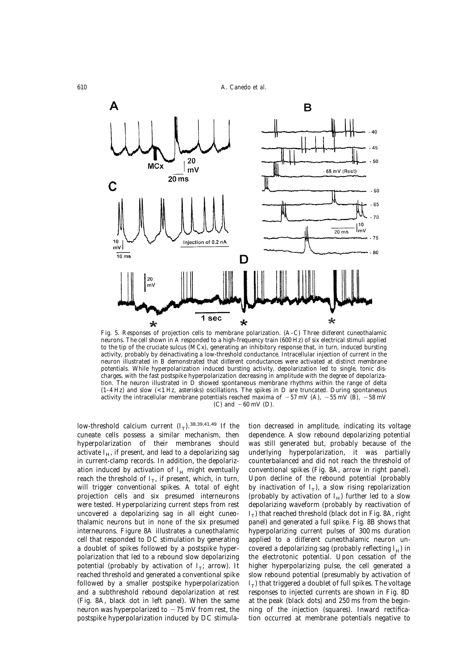

Fig. 5. Responses of projection cells to membrane polarization. (A–C) Three different cuneothalamic neurons. The cell shown in A responded to a high-frequency train (600 Hz) of six electrical stimuli applied to the tip of the cruciate sulcus (MCx), generating an inhibitory response that, in turn, induced bursting activity, probably by deinactivating a low-threshold conductance. Intracellular injection of current in the neuron illustrated in B demonstrated that different conductances were activated at distinct membrane potentials. While hyperpolarization induced bursting activity, depolarization led to single, tonic discharges, with the fast postspike hyperpolarization decreasing in amplitude with the degree of depolarization. The neuron illustrated in D showed spontaneous membrane rhythms within the range of delta (1–4 Hz) and slow (<1 Hz, asterisks) oscillations. The spikes in D are truncated. During spontaneous activity the intracellular membrane potentials reached maxima of  $-57$  mV (A),  $-55$  mV (B),  $-58$  mV (C) and  $-60$  mV (D).

low-threshold calcium current  $(I_T)$ .<sup>38,39,41,49</sup> If the cuneate cells possess a similar mechanism, then hyperpolarization of their membranes should activate  $I_{H}$ , if present, and lead to a depolarizing sag in current-clamp records. In addition, the depolarization induced by activation of  $I_H$  might eventually reach the threshold of  $I_T$ , if present, which, in turn, will trigger conventional spikes. A total of eight projection cells and six presumed interneurons were tested. Hyperpolarizing current steps from rest uncovered a depolarizing sag in all eight cuneothalamic neurons but in none of the six presumed interneurons. Figure 8A illustrates a cuneothalamic cell that responded to DC stimulation by generating a doublet of spikes followed by a postspike hyperpolarization that led to a rebound slow depolarizing potential (probably by activation of  $I_T$ ; arrow). It reached threshold and generated a conventional spike followed by a smaller postspike hyperpolarization and a subthreshold rebound depolarization at rest (Fig. 8A, black dot in left panel). When the same neuron was hyperpolarized to  $-75$  mV from rest, the postspike hyperpolarization induced by DC stimulation decreased in amplitude, indicating its voltage dependence. A slow rebound depolarizing potential was still generated but, probably because of the underlying hyperpolarization, it was partially counterbalanced and did not reach the threshold of conventional spikes (Fig. 8A, arrow in right panel). Upon decline of the rebound potential (probably by inactivation of  $I_T$ ), a slow rising repolarization (probably by activation of  $I_H$ ) further led to a slow depolarizing waveform (probably by reactivation of  $I_T$ ) that reached threshold (black dot in Fig. 8A, right panel) and generated a full spike. Fig. 8B shows that hyperpolarizing current pulses of 300 ms duration applied to a different cuneothalamic neuron uncovered a depolarizing sag (probably reflecting  $I_H$ ) in the electrotonic potential. Upon cessation of the higher hyperpolarizing pulse, the cell generated a slow rebound potential (presumably by activation of  $I<sub>T</sub>$ ) that triggered a doublet of full spikes. The voltage responses to injected currents are shown in Fig. 8D at the peak (black dots) and 250 ms from the beginning of the injection (squares). Inward rectification occurred at membrane potentials negative to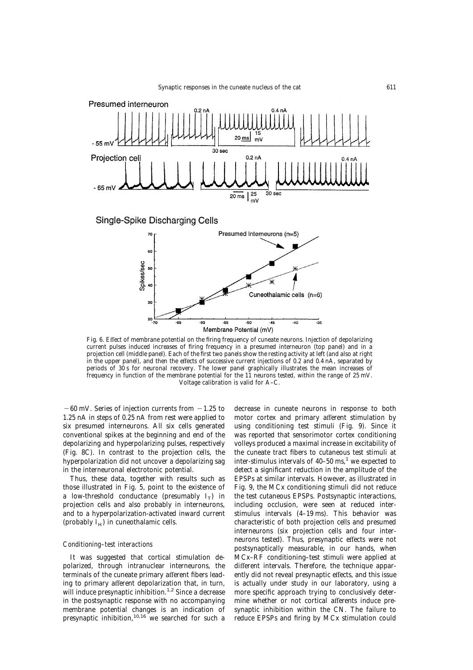

Fig. 6. Effect of membrane potential on the firing frequency of cuneate neurons. Injection of depolarizing current pulses induced increases of firing frequency in a presumed interneuron (top panel) and in a projection cell (middle panel). Each of the first two panels show the resting activity at left (and also at right in the upper panel), and then the effects of successive current injections of 0.2 and 0.4 nA, separated by periods of 30 s for neuronal recovery. The lower panel graphically illustrates the mean increases of frequency in function of the membrane potential for the 11 neurons tested, within the range of 25 mV. Voltage calibration is valid for A–C.

 $-60$  mV. Series of injection currents from  $-1.25$  to 1.25 nA in steps of 0.25 nA from rest were applied to six presumed interneurons. All six cells generated conventional spikes at the beginning and end of the depolarizing and hyperpolarizing pulses, respectively (Fig. 8C). In contrast to the projection cells, the hyperpolarization did not uncover a depolarizing sag in the interneuronal electrotonic potential.

Thus, these data, together with results such as those illustrated in Fig. 5, point to the existence of a low-threshold conductance (presumably  $I_T$ ) in projection cells and also probably in interneurons, and to a hyperpolarization-activated inward current (probably  $I_H$ ) in cuneothalamic cells.

## *Conditioning–test interactions*

It was suggested that cortical stimulation depolarized, through intranuclear interneurons, the terminals of the cuneate primary afferent fibers leading to primary afferent depolarization that, in turn, will induce presynaptic inhibition.<sup>1,2</sup> Since a decrease in the postsynaptic response with no accompanying membrane potential changes is an indication of presynaptic inhibition,  $10,16$  we searched for such a decrease in cuneate neurons in response to both motor cortex and primary afferent stimulation by using conditioning test stimuli (Fig. 9). Since it was reported that sensorimotor cortex conditioning volleys produced a maximal increase in excitability of the cuneate tract fibers to cutaneous test stimuli at inter-stimulus intervals of  $40-50$  ms,<sup>1</sup> we expected to detect a significant reduction in the amplitude of the EPSPs at similar intervals. However, as illustrated in Fig. 9, the MCx conditioning stimuli did not reduce the test cutaneous EPSPs. Postsynaptic interactions, including occlusion, were seen at reduced interstimulus intervals (4–19 ms). This behavior was characteristic of both projection cells and presumed interneurons (six projection cells and four interneurons tested). Thus, presynaptic effects were not postsynaptically measurable, in our hands, when MCx–RF conditioning–test stimuli were applied at different intervals. Therefore, the technique apparently did not reveal presynaptic effects, and this issue is actually under study in our laboratory, using a more specific approach trying to conclusively determine whether or not cortical afferents induce presynaptic inhibition within the CN. The failure to reduce EPSPs and firing by MCx stimulation could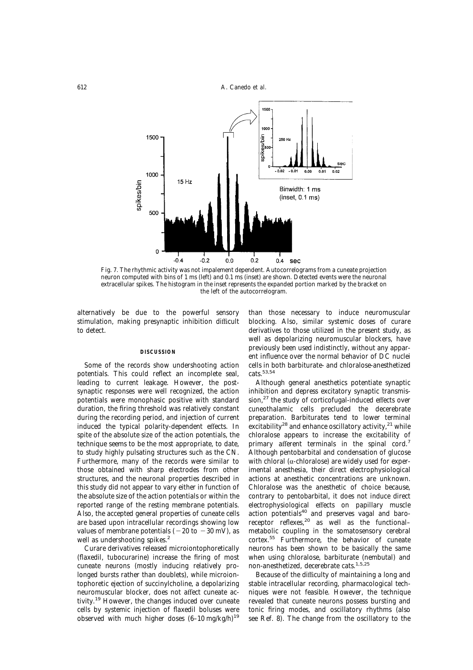

Fig. 7. The rhythmic activity was not impalement dependent. Autocorrelograms from a cuneate projection neuron computed with bins of 1 ms (left) and 0.1 ms (inset) are shown. Detected events were the neuronal extracellular spikes. The histogram in the inset represents the expanded portion marked by the bracket on the left of the autocorrelogram.

alternatively be due to the powerful sensory stimulation, making presynaptic inhibition difficult to detect.

#### **DISCUSSION**

Some of the records show undershooting action potentials. This could reflect an incomplete seal, leading to current leakage. However, the postsynaptic responses were well recognized, the action potentials were monophasic positive with standard duration, the firing threshold was relatively constant during the recording period, and injection of current induced the typical polarity-dependent effects. In spite of the absolute size of the action potentials, the technique seems to be the most appropriate, to date, to study highly pulsating structures such as the CN. Furthermore, many of the records were similar to those obtained with sharp electrodes from other structures, and the neuronal properties described in this study did not appear to vary either in function of the absolute size of the action potentials or within the reported range of the resting membrane potentials. Also, the accepted general properties of cuneate cells are based upon intracellular recordings showing low values of membrane potentials ( $-20$  to  $-30$  mV), as well as undershooting spikes.<sup>2</sup>

Curare derivatives released microiontophoretically (flaxedil, tubocurarine) increase the firing of most cuneate neurons (mostly inducing relatively prolonged bursts rather than doublets), while microiontophoretic ejection of succinylcholine, a depolarizing neuromuscular blocker, does not affect cuneate activity.19 However, the changes induced over cuneate cells by systemic injection of flaxedil boluses were observed with much higher doses  $(6-10 \text{ mg/kg/h})^{19}$  than those necessary to induce neuromuscular blocking. Also, similar systemic doses of curare derivatives to those utilized in the present study, as well as depolarizing neuromuscular blockers, have previously been used indistinctly, without any apparent influence over the normal behavior of DC nuclei cells in both barbiturate- and chloralose-anesthetized cats.53,54

Although general anesthetics potentiate synaptic inhibition and depress excitatory synaptic transmission,<sup>27</sup> the study of corticofugal-induced effects over cuneothalamic cells precluded the decerebrate preparation. Barbiturates tend to lower terminal excitability<sup>28</sup> and enhance oscillatory activity,<sup>21</sup> while chloralose appears to increase the excitability of primary afferent terminals in the spinal cord.<sup>7</sup> Although pentobarbital and condensation of glucose with chloral ( $\alpha$ -chloralose) are widely used for experimental anesthesia, their direct electrophysiological actions at anesthetic concentrations are unknown. Chloralose was the anesthetic of choice because, contrary to pentobarbital, it does not induce direct electrophysiological effects on papillary muscle action potentials<sup>40</sup> and preserves vagal and baroreceptor reflexes,<sup>20</sup> as well as the functionalmetabolic coupling in the somatosensory cerebral cortex.55 Furthermore, the behavior of cuneate neurons has been shown to be basically the same when using chloralose, barbiturate (nembutal) and non-anesthetized, decerebrate cats.1,5,25

Because of the difficulty of maintaining a long and stable intracellular recording, pharmacological techniques were not feasible. However, the technique revealed that cuneate neurons possess bursting and tonic firing modes, and oscillatory rhythms (also see Ref. 8). The change from the oscillatory to the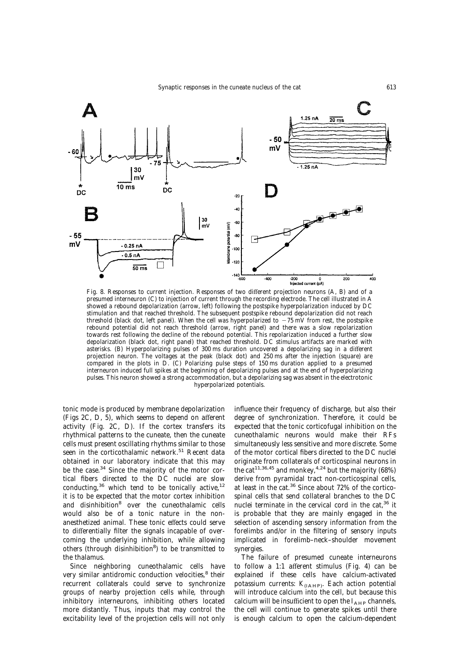

Fig. 8. Responses to current injection. Responses of two different projection neurons (A, B) and of a presumed interneuron (C) to injection of current through the recording electrode. The cell illustrated in A showed a rebound depolarization (arrow, left) following the postspike hyperpolarization induced by DC stimulation and that reached threshold. The subsequent postspike rebound depolarization did not reach threshold (black dot, left panel). When the cell was hyperpolarized to  $-75$  mV from rest, the postspike rebound potential did not reach threshold (arrow, right panel) and there was a slow repolarization towards rest following the decline of the rebound potential. This repolarization induced a further slow depolarization (black dot, right panel) that reached threshold. DC stimulus artifacts are marked with asterisks. (B) Hyperpolarizing pulses of 300 ms duration uncovered a depolarizing sag in a different projection neuron. The voltages at the peak (black dot) and 250 ms after the injection (square) are compared in the plots in D. (C) Polarizing pulse steps of 150 ms duration applied to a presumed interneuron induced full spikes at the beginning of depolarizing pulses and at the end of hyperpolarizing pulses. This neuron showed a strong accommodation, but a depolarizing sag was absent in the electrotonic hyperpolarized potentials.

tonic mode is produced by membrane depolarization (Figs 2C, D, 5), which seems to depend on afferent activity (Fig. 2C, D). If the cortex transfers its rhythmical patterns to the cuneate, then the cuneate cells must present oscillating rhythms similar to those seen in the corticothalamic network.<sup>51</sup> Recent data obtained in our laboratory indicate that this may be the case. $34$  Since the majority of the motor cortical fibers directed to the DC nuclei are slow conducting, $36$  which tend to be tonically active, $12$ it is to be expected that the motor cortex inhibition and disinhibition8 over the cuneothalamic cells would also be of a tonic nature in the nonanesthetized animal. These tonic effects could serve to differentially filter the signals incapable of overcoming the underlying inhibition, while allowing others (through disinhibition<sup>8</sup>) to be transmitted to the thalamus.

Since neighboring cuneothalamic cells have very similar antidromic conduction velocities,<sup>8</sup> their recurrent collaterals could serve to synchronize groups of nearby projection cells while, through inhibitory interneurons, inhibiting others located more distantly. Thus, inputs that may control the excitability level of the projection cells will not only influence their frequency of discharge, but also their degree of synchronization. Therefore, it could be expected that the tonic corticofugal inhibition on the cuneothalamic neurons would make their RFs simultaneously less sensitive and more discrete. Some of the motor cortical fibers directed to the DC nuclei originate from collaterals of corticospinal neurons in the cat<sup>11,36,45</sup> and monkey,<sup>4,24</sup> but the majority (68%) derive from pyramidal tract non-corticospinal cells, at least in the cat.<sup>36</sup> Since about 72% of the corticospinal cells that send collateral branches to the DC nuclei terminate in the cervical cord in the cat,36 it is probable that they are mainly engaged in the selection of ascending sensory information from the forelimbs and/or in the filtering of sensory inputs implicated in forelimb–neck–shoulder movement synergies.

The failure of presumed cuneate interneurons to follow a 1:1 afferent stimulus (Fig. 4) can be explained if these cells have calcium-activated potassium currents:  $K_{(IAHP)}$ . Each action potential will introduce calcium into the cell, but because this calcium will be insufficient to open the  $I_{\text{AHP}}$  channels, the cell will continue to generate spikes until there is enough calcium to open the calcium-dependent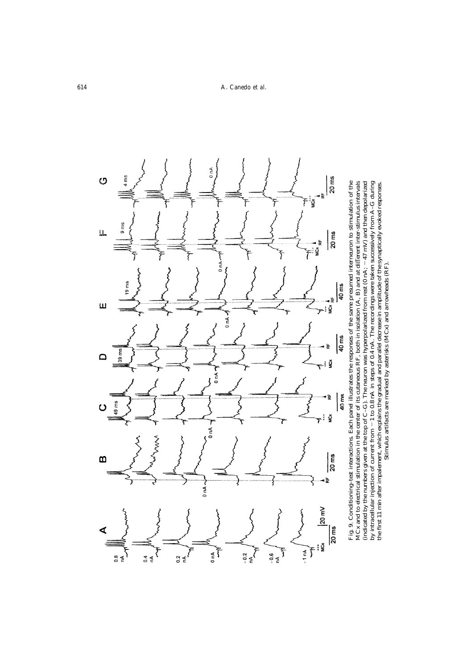) nA  $20<sub>ms</sub>$  $\circ$ i me ٠Ļ ğ Ŧ  $9<sub>ms</sub>$ U.  $20 \, \text{ms}$ ğ ξ  $0<sub>nA</sub>$ 19 ms 40 ms - ⊭ Ш one of  $\frac{1}{40}$  ms  $39 \, \text{ms}$  $\Box$ Š  $\tau^*$  $\sum_{n=1}^{\infty}$ 40 ms 눊  $49 \text{ ms}$ ξ  $\mathbf C$ ₹  $\tau^{\ddagger}$ ğ ۲ 7  $\frac{1}{2}$ MANA  $\frac{20}{3}$  $\Omega$ ı iz  $0 nA \sim$ 20 mV **Secure 20**  $\frac{20}{m}$ ₫ ፧<br>¥ Š  $\sum_{i=1}^{n}$  $\begin{pmatrix} 1 \\ -1 \\ -1 \end{pmatrix}$  $-1<sub>nn</sub>$  $\overline{M}$  $\frac{10.6}{nA}$  $rac{2}{\sqrt{\frac{4}{}}}}$ ₹  $rac{8}{65}$  $\frac{4}{5}$   $\frac{4}{5}$ 

Fig. 9. Conditioning-test interactions. Each panel illustrates the responses of the same presumed intermeuron to stimulation of the MCx and to electrical stimulation in the centre of its cutaneous RF, both in isolation  $(A$ Fig. 9. Conditioning–test interactions. Each panel illustrates the responses of the same presumed interneuron to stimulation of the fferent inter-stimulus intervals  $-47$  mV) and then depolarized  $-1$  to 0.8 nA in steps of 0.4 nA. The recordings were taken successively from A-G during the first 11 min after impalement, which explains the gradual and parallel decrease in amplitude of the synaptically evoked responses. Stimulus artifacts are marked by asterisks (MCx) and arrowheads (RF). MCx and to electrical stimulation in the center of its cutaneous RF, both in isolation (A, B) and at di (indicated by the numbers given at the top of  $C$ –G). The neuron was hyperpolarized from rest (0 nA; by intracellular injection of current from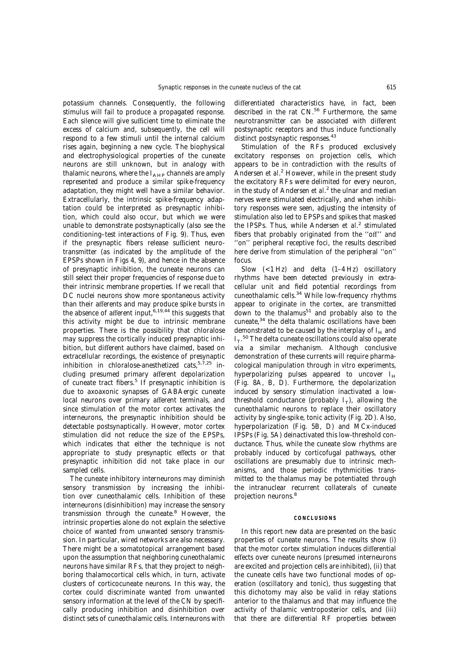potassium channels. Consequently, the following stimulus will fail to produce a propagated response. Each silence will give sufficient time to eliminate the excess of calcium and, subsequently, the cell will respond to a few stimuli until the internal calcium rises again, beginning a new cycle. The biophysical and electrophysiological properties of the cuneate neurons are still unknown, but in analogy with thalamic neurons, where the  $I_{\text{AHP}}$  channels are amply represented and produce a similar spike-frequency adaptation, they might well have a similar behavior. Extracellularly, the intrinsic spike-frequency adaptation could be interpreted as presynaptic inhibition, which could also occur, but which we were unable to demonstrate postsynaptically (also see the conditioning–test interactions of Fig. 9). Thus, even if the presynaptic fibers release sufficient neurotransmitter (as indicated by the amplitude of the EPSPs shown in Figs 4, 9), and hence in the absence of presynaptic inhibition, the cuneate neurons can still select their proper frequencies of response due to their intrinsic membrane properties. If we recall that DC nuclei neurons show more spontaneous activity than their afferents and may produce spike bursts in the absence of afferent input, $6,19,44$  this suggests that this activity might be due to intrinsic membrane properties. There is the possibility that chloralose may suppress the cortically induced presynaptic inhibition, but different authors have claimed, based on extracellular recordings, the existence of presynaptic inhibition in chloralose-anesthetized cats,  $5,7,25$  including presumed primary afferent depolarization of cuneate tract fibers.<sup>5</sup> If presynaptic inhibition is due to axoaxonic synapses of GABAergic cuneate local neurons over primary afferent terminals, and since stimulation of the motor cortex activates the interneurons, the presynaptic inhibition should be detectable postsynaptically. However, motor cortex stimulation did not reduce the size of the EPSPs, which indicates that either the technique is not appropriate to study presynaptic effects or that presynaptic inhibition did not take place in our sampled cells.

The cuneate inhibitory interneurons may diminish sensory transmission by increasing the inhibition over cuneothalamic cells. Inhibition of these interneurons (disinhibition) may increase the sensory transmission through the cuneate.8 However, the intrinsic properties alone do not explain the selective choice of wanted from unwanted sensory transmission. In particular, wired networks are also necessary. There might be a somatotopical arrangement based upon the assumption that neighboring cuneothalamic neurons have similar RFs, that they project to neighboring thalamocortical cells which, in turn, activate clusters of corticocuneate neurons. In this way, the cortex could discriminate wanted from unwanted sensory information at the level of the CN by specifically producing inhibition and disinhibition over distinct sets of cuneothalamic cells. Interneurons with differentiated characteristics have, in fact, been described in the rat CN.<sup>56</sup> Furthermore, the same neurotransmitter can be associated with different postsynaptic receptors and thus induce functionally distinct postsynaptic responses.<sup>43</sup>

Stimulation of the RFs produced exclusively excitatory responses on projection cells, which appears to be in contradiction with the results of Andersen *et al*. <sup>2</sup> However, while in the present study the excitatory RFs were delimited for every neuron, in the study of Andersen *et al*. <sup>2</sup> the ulnar and median nerves were stimulated electrically, and when inhibitory responses were seen, adjusting the intensity of stimulation also led to EPSPs and spikes that masked the IPSPs. Thus, while Andersen *et al*. <sup>2</sup> stimulated fibers that probably originated from the ''off'' and ''on'' peripheral receptive foci, the results described here derive from stimulation of the peripheral ''on'' focus.

Slow (<1 Hz) and delta (1–4 Hz) oscillatory rhythms have been detected previously in extracellular unit and field potential recordings from cuneothalamic cells.<sup>34</sup> While low-frequency rhythms appear to originate in the cortex, are transmitted down to the thalamus<sup>51</sup> and probably also to the cuneate,<sup>34</sup> the delta thalamic oscillations have been demonstrated to be caused by the interplay of  $I_{\rm H}$  and  $I_T$ .<sup>50</sup> The delta cuneate oscillations could also operate via a similar mechanism. Although conclusive demonstration of these currents will require pharmacological manipulation through *in vitro* experiments, hyperpolarizing pulses appeared to uncover  $I_{\rm H}$ (Fig. 8A, B, D). Furthermore, the depolarization induced by sensory stimulation inactivated a lowthreshold conductance (probably  $I_T$ ), allowing the cuneothalamic neurons to replace their oscillatory activity by single-spike, tonic activity (Fig. 2D). Also, hyperpolarization (Fig. 5B, D) and MCx-induced IPSPs (Fig. 5A) deinactivated this low-threshold conductance. Thus, while the cuneate slow rhythms are probably induced by corticofugal pathways, other oscillations are presumably due to intrinsic mechanisms, and those periodic rhythmicities transmitted to the thalamus may be potentiated through the intranuclear recurrent collaterals of cuneate projection neurons.8

#### **CONCLUSIONS**

In this report new data are presented on the basic properties of cuneate neurons. The results show (i) that the motor cortex stimulation induces differential effects over cuneate neurons (presumed interneurons are excited and projection cells are inhibited), (ii) that the cuneate cells have two functional modes of operation (oscillatory and tonic), thus suggesting that this dichotomy may also be valid in relay stations anterior to the thalamus and that may influence the activity of thalamic ventroposterior cells, and (iii) that there are differential RF properties between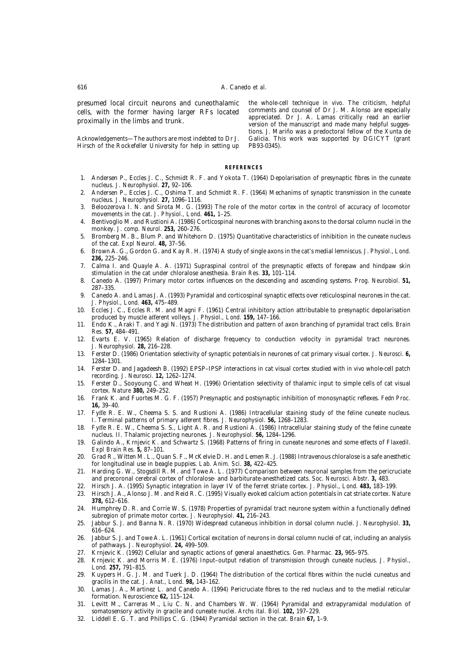presumed local circuit neurons and cuneothalamic cells, with the former having larger RFs located proximally in the limbs and trunk.

*Acknowledgements*—The authors are most indebted to Dr J. Hirsch of the Rockefeller University for help in setting up the whole-cell technique *in vivo*. The criticism, helpful comments and counsel of Dr J. M. Alonso are especially appreciated. Dr J. A. Lamas critically read an earlier version of the manuscript and made many helpful suggestions. J. Mariño was a predoctoral fellow of the Xunta de Galicia. This work was supported by DGICYT (grant PB93-0345).

#### **REFERENCES**

- 1. Andersen P., Eccles J. C., Schmidt R. F. and Yokota T. (1964) Depolarisation of presynaptic fibres in the cuneate nucleus. *J. Neurophysiol.* **27,** 92–106.
- 2. Andersen P., Eccles J. C., Oshima T. and Schmidt R. F. (1964) Mechanims of synaptic transmission in the cuneate nucleus. *J. Neurophysiol.* **27,** 1096–1116.
- 3. Beloozerova I. N. and Sirota M. G. (1993) The role of the motor cortex in the control of accuracy of locomotor movements in the cat. *J. Physiol., Lond.* **461,** 1–25.
- 4. Bentivoglio M. and Rustioni A. (1986) Corticospinal neurones with branching axons to the dorsal column nuclei in the monkey. *J. comp. Neurol.* **253,** 260–276.
- 5. Bromberg M. B., Blum P. and Whitehorn D. (1975) Quantitative characteristics of inhibition in the cuneate nucleus of the cat. *Expl Neurol.* **48,** 37–56.
- 6. Brown A. G., Gordon G. and Kay R. H. (1974) A study of single axons in the cat's medial lemniscus. *J. Physiol., Lond.* **236,** 225–246.
- 7. Calma I. and Quayle A. A. (1971) Supraspinal control of the presynaptic effects of forepaw and hindpaw skin stimulation in the cat under chloralose anesthesia. *Brain Res.* **33,** 101–114.
- 8. Canedo A. (1997) Primary motor cortex influences on the descending and ascending systems. *Prog. Neurobiol.* **51,** 287–335.
- 9. Canedo A. and Lamas J. A. (1993) Pyramidal and corticospinal synaptic effects over reticulospinal neurones in the cat. *J. Physiol., Lond.* **463,** 475–489.
- 10. Eccles J. C., Eccles R. M. and Magni F. (1961) Central inhibitory action attributable to presynaptic depolarisation produced by muscle afferent volleys. *J. Physiol., Lond.* **159,** 147–166.
- 11. Endo K., Araki T. and Yagi N. (1973) The distribution and pattern of axon branching of pyramidal tract cells. *Brain Res.* **57,** 484–491.
- 12. Evarts E. V. (1965) Relation of discharge frequency to conduction velocity in pyramidal tract neurones. *J. Neurophysiol.* **28,** 216–228.
- 13. Ferster D. (1986) Orientation selectivity of synaptic potentials in neurones of cat primary visual cortex. *J. Neurosci.* **6,** 1284–1301.
- 14. Ferster D. and Jagadeesh B. (1992) EPSP–IPSP interactions in cat visual cortex studied with *in vivo* whole-cell patch recording. *J. Neurosci.* **12,** 1262–1274.
- 15. Ferster D., Sooyoung C. and Wheat H. (1996) Orientation selectivity of thalamic input to simple cells of cat visual cortex. *Nature* **380,** 249–252.
- 16. Frank K. and Fuortes M. G. F. (1957) Presynaptic and postsynaptic inhibition of monosynaptic reflexes. *Fedn Proc.* **16,** 39–40.
- 17. Fyffe R. E. W., Cheema S. S. and Rustioni A. (1986) Intracellular staining study of the feline cuneate nucleus. I. Terminal patterns of primary afferent fibres. *J. Neurophysiol.* **56,** 1268–1283.
- 18. Fyffe R. E. W., Cheema S. S., Light A. R. and Rustioni A. (1986) Intracellular staining study of the feline cuneate nucleus. II. Thalamic projecting neurones. *J. Neurophysiol.* **56,** 1284–1296.
- 19. Galindo A., Krnjevic K. and Schwartz S. (1968) Patterns of firing in cuneate neurones and some effects of Flaxedil. *Expl Brain Res.* **5,** 87–101.
- 20. Grad R., Witten M. L., Quan S. F., McKelvie D. H. and Lemen R. J. (1988) Intravenous chloralose is a safe anesthetic for longitudinal use in beagle puppies. *Lab. Anim. Sci.* **38,** 422–425.
- 21. Harding G. W., Stogsdill R. M. and Towe A. L. (1977) Comparison between neuronal samples from the pericruciate and precoronal cerebral cortex of chloralose- and barbiturate-anesthetized cats. *Soc. Neurosci. Abstr.* **3,** 483.
- 22. Hirsch J. A. (1995) Synaptic integration in layer IV of the ferret striate cortex. *J. Physiol., Lond.* **483,** 183–199.
- 23. Hirsch J. A., Alonso J. M. and Reid R. C. (1995) Visually evoked calcium action potentials in cat striate cortex. *Nature* **378,** 612–616.
- 24. Humphrey D. R. and Corrie W. S. (1978) Properties of pyramidal tract neurone system within a functionally defined subregion of primate motor cortex. *J. Neurophysiol.* **41,** 216–243.
- 25. Jabbur S. J. and Banna N. R. (1970) Widespread cutaneous inhibition in dorsal column nuclei. *J. Neurophysiol.* **33,** 616–624.
- 26. Jabbur S. J. and Towe A. L. (1961) Cortical excitation of neurons in dorsal column nuclei of cat, including an analysis of pathways. *J. Neurophysiol.* **24,** 499–509.
- 27. Krnjevic K. (1992) Cellular and synaptic actions of general anaesthetics. *Gen. Pharmac.* **23,** 965–975.
- 28. Krnjevic K. and Morris M. E. (1976) Input–output relation of transmission through cuneate nucleus. *J. Physiol., Lond.* **257,** 791–815.
- 29. Kuypers H. G. J. M. and Tuerk J. D. (1964) The distribution of the cortical fibres within the nuclei cuneatus and gracilis in the cat. *J. Anat., Lond.* **98,** 143–162.
- 30. Lamas J. A., Martinez L. and Canedo A. (1994) Pericruciate fibres to the red nucleus and to the medial reticular formation. *Neuroscience* **62,** 115–124.
- 31. Levitt M., Carreras M., Liu C. N. and Chambers W. W. (1964) Pyramidal and extrapyramidal modulation of somatosensory activity in gracile and cuneate nuclei. *Archs ital. Biol.* **102,** 197–229.
- 32. Liddell E. G. T. and Phillips C. G. (1944) Pyramidal section in the cat. *Brain* **67,** 1–9.